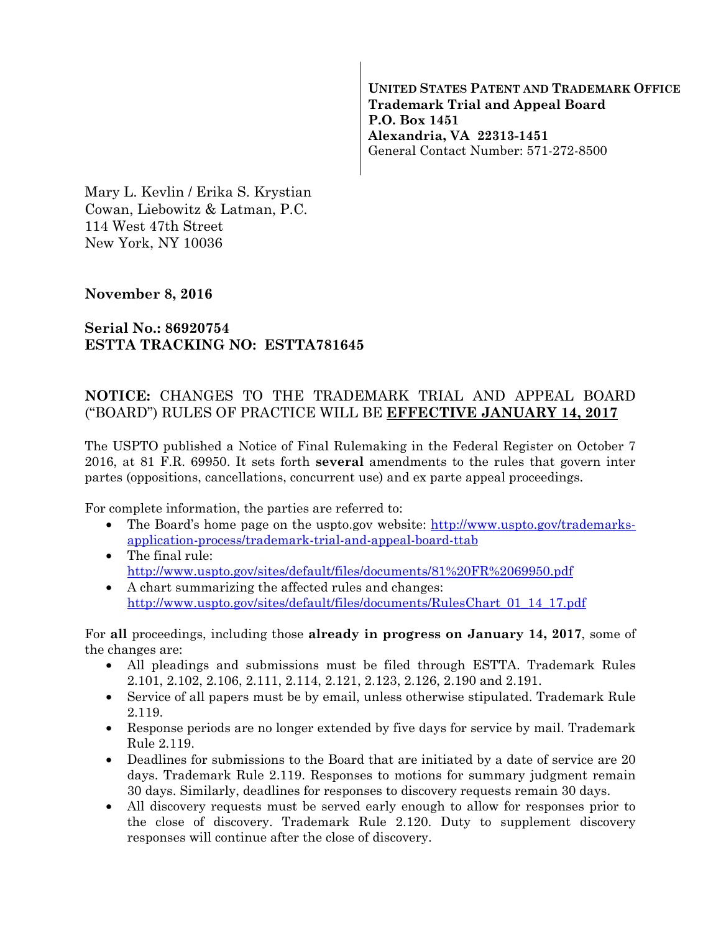**UNITED STATES PATENT AND TRADEMARK OFFICE Trademark Trial and Appeal Board P.O. Box 1451 Alexandria, VA 22313-1451**  General Contact Number: 571-272-8500

Mary L. Kevlin / Erika S. Krystian Cowan, Liebowitz & Latman, P.C. 114 West 47th Street New York, NY 10036

## **November 8, 2016**

## **Serial No.: 86920754 ESTTA TRACKING NO: ESTTA781645**

## **NOTICE:** CHANGES TO THE TRADEMARK TRIAL AND APPEAL BOARD ("BOARD") RULES OF PRACTICE WILL BE **EFFECTIVE JANUARY 14, 2017**

The USPTO published a Notice of Final Rulemaking in the Federal Register on October 7 2016, at 81 F.R. 69950. It sets forth **several** amendments to the rules that govern inter partes (oppositions, cancellations, concurrent use) and ex parte appeal proceedings.

For complete information, the parties are referred to:

- The Board's home page on the uspto.gov website: http://www.uspto.gov/trademarksapplication-process/trademark-trial-and-appeal-board-ttab
- The final rule: http://www.uspto.gov/sites/default/files/documents/81%20FR%2069950.pdf
- A chart summarizing the affected rules and changes: http://www.uspto.gov/sites/default/files/documents/RulesChart\_01\_14\_17.pdf

For **all** proceedings, including those **already in progress on January 14, 2017**, some of the changes are:

- All pleadings and submissions must be filed through ESTTA. Trademark Rules 2.101, 2.102, 2.106, 2.111, 2.114, 2.121, 2.123, 2.126, 2.190 and 2.191.
- Service of all papers must be by email, unless otherwise stipulated. Trademark Rule 2.119.
- Response periods are no longer extended by five days for service by mail. Trademark Rule 2.119.
- Deadlines for submissions to the Board that are initiated by a date of service are 20 days. Trademark Rule 2.119. Responses to motions for summary judgment remain 30 days. Similarly, deadlines for responses to discovery requests remain 30 days.
- All discovery requests must be served early enough to allow for responses prior to the close of discovery. Trademark Rule 2.120. Duty to supplement discovery responses will continue after the close of discovery.